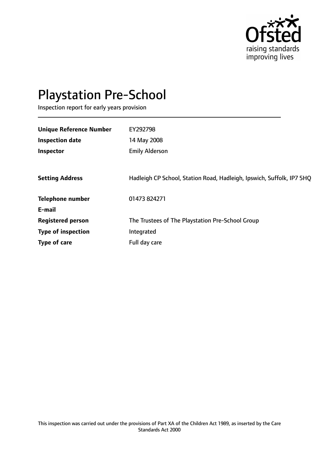

# Playstation Pre-School

Inspection report for early years provision

| <b>Unique Reference Number</b> | EY292798                                                              |
|--------------------------------|-----------------------------------------------------------------------|
| <b>Inspection date</b>         | 14 May 2008                                                           |
| Inspector                      | <b>Emily Alderson</b>                                                 |
|                                |                                                                       |
| <b>Setting Address</b>         | Hadleigh CP School, Station Road, Hadleigh, Ipswich, Suffolk, IP7 5HQ |
| <b>Telephone number</b>        | 01473 824271                                                          |
| E-mail                         |                                                                       |
| <b>Registered person</b>       | The Trustees of The Playstation Pre-School Group                      |
| <b>Type of inspection</b>      | Integrated                                                            |
| Type of care                   | Full day care                                                         |
|                                |                                                                       |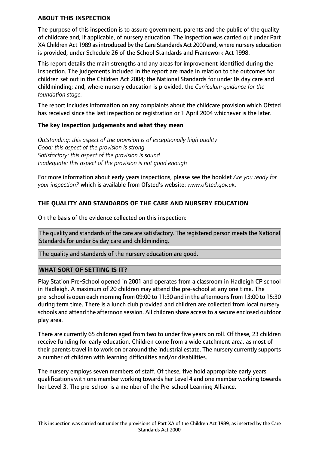#### **ABOUT THIS INSPECTION**

The purpose of this inspection is to assure government, parents and the public of the quality of childcare and, if applicable, of nursery education. The inspection was carried out under Part XA Children Act 1989 asintroduced by the Care Standards Act 2000 and, where nursery education is provided, under Schedule 26 of the School Standards and Framework Act 1998.

This report details the main strengths and any areas for improvement identified during the inspection. The judgements included in the report are made in relation to the outcomes for children set out in the Children Act 2004; the National Standards for under 8s day care and childminding; and, where nursery education is provided, the *Curriculum guidance for the foundation stage.*

The report includes information on any complaints about the childcare provision which Ofsted has received since the last inspection or registration or 1 April 2004 whichever is the later.

#### **The key inspection judgements and what they mean**

*Outstanding: this aspect of the provision is of exceptionally high quality Good: this aspect of the provision is strong Satisfactory: this aspect of the provision is sound Inadequate: this aspect of the provision is not good enough*

For more information about early years inspections, please see the booklet *Are you ready for your inspection?* which is available from Ofsted's website: *www.ofsted.gov.uk.*

# **THE QUALITY AND STANDARDS OF THE CARE AND NURSERY EDUCATION**

On the basis of the evidence collected on this inspection:

The quality and standards of the care are satisfactory. The registered person meets the National Standards for under 8s day care and childminding.

The quality and standards of the nursery education are good.

## **WHAT SORT OF SETTING IS IT?**

Play Station Pre-School opened in 2001 and operates from a classroom in Hadleigh CP school in Hadleigh. A maximum of 20 children may attend the pre-school at any one time. The pre-school is open each morning from 09:00 to 11:30 and in the afternoons from 13:00 to 15:30 during term time. There is a lunch club provided and children are collected from local nursery schools and attend the afternoon session. All children share access to a secure enclosed outdoor play area.

There are currently 65 children aged from two to under five years on roll. Of these, 23 children receive funding for early education. Children come from a wide catchment area, as most of their parents travel in to work on or around the industrial estate. The nursery currently supports a number of children with learning difficulties and/or disabilities.

The nursery employs seven members of staff. Of these, five hold appropriate early years qualifications with one member working towards her Level 4 and one member working towards her Level 3. The pre-school is a member of the Pre-school Learning Alliance.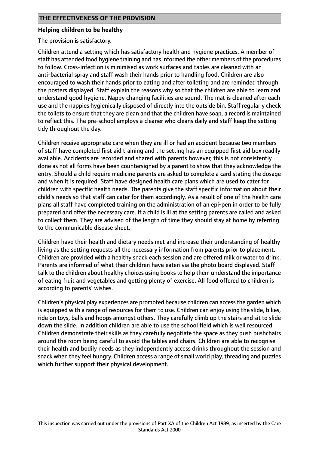#### **Helping children to be healthy**

The provision is satisfactory.

Children attend a setting which has satisfactory health and hygiene practices. A member of staff has attended food hygiene training and has informed the other members of the procedures to follow. Cross-infection is minimised as work surfaces and tables are cleaned with an anti-bacterial spray and staff wash their hands prior to handling food. Children are also encouraged to wash their hands prior to eating and after toileting and are reminded through the posters displayed. Staff explain the reasons why so that the children are able to learn and understand good hygiene. Nappy changing facilities are sound. The mat is cleaned after each use and the nappies hygienically disposed of directly into the outside bin. Staff regularly check the toilets to ensure that they are clean and that the children have soap, a record is maintained to reflect this. The pre-school employs a cleaner who cleans daily and staff keep the setting tidy throughout the day.

Children receive appropriate care when they are ill or had an accident because two members of staff have completed first aid training and the setting has an equipped first aid box readily available. Accidents are recorded and shared with parents however, this is not consistently done as not all forms have been countersigned by a parent to show that they acknowledge the entry. Should a child require medicine parents are asked to complete a card stating the dosage and when it is required. Staff have designed health care plans which are used to cater for children with specific health needs. The parents give the staff specific information about their child's needs so that staff can cater for them accordingly. As a result of one of the health care plans all staff have completed training on the administration of an epi-pen in order to be fully prepared and offer the necessary care. If a child is ill at the setting parents are called and asked to collect them. They are advised of the length of time they should stay at home by referring to the communicable disease sheet.

Children have their health and dietary needs met and increase their understanding of healthy living as the setting requests all the necessary information from parents prior to placement. Children are provided with a healthy snack each session and are offered milk or water to drink. Parents are informed of what their children have eaten via the photo board displayed. Staff talk to the children about healthy choices using books to help them understand the importance of eating fruit and vegetables and getting plenty of exercise. All food offered to children is according to parents' wishes.

Children's physical play experiences are promoted because children can access the garden which is equipped with a range of resources for them to use. Children can enjoy using the slide, bikes, ride on toys, balls and hoops amongst others. They carefully climb up the stairs and sit to slide down the slide. In addition children are able to use the school field which is well resourced. Children demonstrate their skills as they carefully negotiate the space as they push pushchairs around the room being careful to avoid the tables and chairs. Children are able to recognise their health and bodily needs as they independently access drinks throughout the session and snack when they feel hungry. Children access a range of small world play, threading and puzzles which further support their physical development.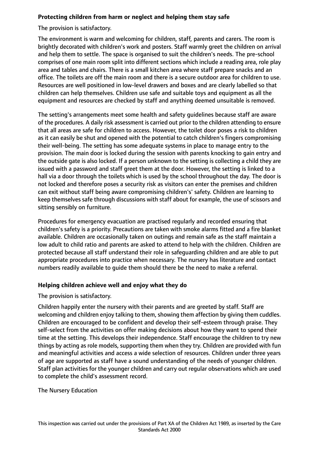# **Protecting children from harm or neglect and helping them stay safe**

The provision is satisfactory.

The environment is warm and welcoming for children, staff, parents and carers. The room is brightly decorated with children's work and posters. Staff warmly greet the children on arrival and help them to settle. The space is organised to suit the children's needs. The pre-school comprises of one main room split into different sections which include a reading area, role play area and tables and chairs. There is a small kitchen area where staff prepare snacks and an office. The toilets are off the main room and there is a secure outdoor area for children to use. Resources are well positioned in low-level drawers and boxes and are clearly labelled so that children can help themselves. Children use safe and suitable toys and equipment as all the equipment and resources are checked by staff and anything deemed unsuitable is removed.

The setting's arrangements meet some health and safety guidelines because staff are aware of the procedures. A daily risk assessment is carried out prior to the children attending to ensure that all areas are safe for children to access. However, the toilet door poses a risk to children as it can easily be shut and opened with the potential to catch children's fingers compromising their well-being. The setting has some adequate systems in place to manage entry to the provision. The main door is locked during the session with parents knocking to gain entry and the outside gate is also locked. If a person unknown to the setting is collecting a child they are issued with a password and staff greet them at the door. However, the setting is linked to a hall via a door through the toilets which is used by the school throughout the day. The door is not locked and therefore poses a security risk as visitors can enter the premises and children can exit without staff being aware compromising children's' safety. Children are learning to keep themselves safe through discussions with staff about for example, the use of scissors and sitting sensibly on furniture.

Procedures for emergency evacuation are practised regularly and recorded ensuring that children's safety is a priority. Precautions are taken with smoke alarms fitted and a fire blanket available. Children are occasionally taken on outings and remain safe as the staff maintain a low adult to child ratio and parents are asked to attend to help with the children. Children are protected because all staff understand their role in safeguarding children and are able to put appropriate procedures into practice when necessary. The nursery has literature and contact numbers readily available to guide them should there be the need to make a referral.

# **Helping children achieve well and enjoy what they do**

The provision is satisfactory.

Children happily enter the nursery with their parents and are greeted by staff. Staff are welcoming and children enjoy talking to them, showing them affection by giving them cuddles. Children are encouraged to be confident and develop their self-esteem through praise. They self-select from the activities on offer making decisions about how they want to spend their time at the setting. This develops their independence. Staff encourage the children to try new things by acting as role models, supporting them when they try. Children are provided with fun and meaningful activities and access a wide selection of resources. Children under three years of age are supported as staff have a sound understanding of the needs of younger children. Staff plan activities for the younger children and carry out regular observations which are used to complete the child's assessment record.

## The Nursery Education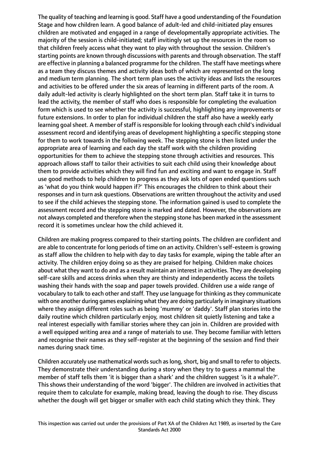The quality of teaching and learning is good. Staff have a good understanding of the Foundation Stage and how children learn. A good balance of adult-led and child-initiated play ensures children are motivated and engaged in a range of developmentally appropriate activities. The majority of the session is child-initiated; staff invitingly set up the resources in the room so that children freely access what they want to play with throughout the session. Children's starting points are known through discussions with parents and through observation. The staff are effective in planning a balanced programme for the children. The staff have meetings where as a team they discuss themes and activity ideas both of which are represented on the long and medium term planning. The short term plan uses the activity ideas and lists the resources and activities to be offered under the six areas of learning in different parts of the room. A daily adult-led activity is clearly highlighted on the short term plan. Staff take it in turns to lead the activity, the member of staff who does is responsible for completing the evaluation form which is used to see whether the activity is successful, highlighting any improvements or future extensions. In order to plan for individual children the staff also have a weekly early learning goal sheet. A member of staff is responsible for looking through each child's individual assessment record and identifying areas of development highlighting a specific stepping stone for them to work towards in the following week. The stepping stone is then listed under the appropriate area of learning and each day the staff work with the children providing opportunities for them to achieve the stepping stone through activities and resources. This approach allows staff to tailor their activities to suit each child using their knowledge about them to provide activities which they will find fun and exciting and want to engage in. Staff use good methods to help children to progress as they ask lots of open ended questions such as 'what do you think would happen if?' This encourages the children to think about their responses and in turn ask questions. Observations are written throughout the activity and used to see if the child achieves the stepping stone. The information gained is used to complete the assessment record and the stepping stone is marked and dated. However, the observations are not always completed and therefore when the stepping stone has been marked in the assessment record it is sometimes unclear how the child achieved it.

Children are making progress compared to their starting points. The children are confident and are able to concentrate for long periods of time on an activity. Children's self-esteem is growing as staff allow the children to help with day to day tasks for example, wiping the table after an activity. The children enjoy doing so as they are praised for helping. Children make choices about what they want to do and as a result maintain an interest in activities. They are developing self-care skills and access drinks when they are thirsty and independently access the toilets washing their hands with the soap and paper towels provided. Children use a wide range of vocabulary to talk to each other and staff. They use language for thinking as they communicate with one another during games explaining what they are doing particularly in imaginary situations where they assign different roles such as being 'mummy' or 'daddy'. Staff plan stories into the daily routine which children particularly enjoy, most children sit quietly listening and take a real interest especially with familiar stories where they can join in. Children are provided with a well equipped writing area and a range of materials to use. They become familiar with letters and recognise their names as they self-register at the beginning of the session and find their names during snack time.

Children accurately use mathematical words such as long, short, big and small to refer to objects. They demonstrate their understanding during a story when they try to guess a mammal the member of staff tells them 'it is bigger than a shark' and the children suggest 'is it a whale?'. This shows their understanding of the word 'bigger'. The children are involved in activities that require them to calculate for example, making bread, leaving the dough to rise. They discuss whether the dough will get bigger or smaller with each child stating which they think. They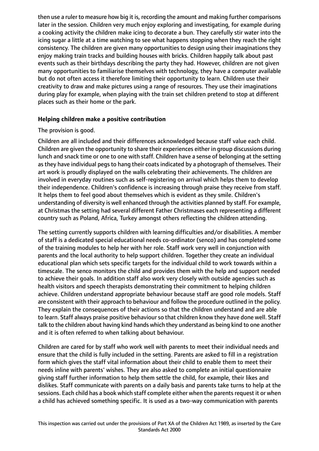then use a ruler to measure how big it is, recording the amount and making further comparisons later in the session. Children very much enjoy exploring and investigating, for example during a cooking activity the children make icing to decorate a bun. They carefully stir water into the icing sugar a little at a time watching to see what happens stopping when they reach the right consistency. The children are given many opportunities to design using their imaginations they enjoy making train tracks and building houses with bricks. Children happily talk about past events such as their birthdays describing the party they had. However, children are not given many opportunities to familiarise themselves with technology, they have a computer available but do not often access it therefore limiting their opportunity to learn. Children use their creativity to draw and make pictures using a range of resources. They use their imaginations during play for example, when playing with the train set children pretend to stop at different places such as their home or the park.

## **Helping children make a positive contribution**

## The provision is good.

Children are all included and their differences acknowledged because staff value each child. Children are given the opportunity to share their experiences either in group discussions during lunch and snack time or one to one with staff. Children have a sense of belonging at the setting as they have individual pegs to hang their coats indicated by a photograph of themselves. Their art work is proudly displayed on the walls celebrating their achievements. The children are involved in everyday routines such as self-registering on arrival which helps them to develop their independence. Children's confidence is increasing through praise they receive from staff. It helps them to feel good about themselves which is evident as they smile. Children's understanding of diversity is well enhanced through the activities planned by staff. For example, at Christmas the setting had several different Father Christmases each representing a different country such as Poland, Africa, Turkey amongst others reflecting the children attending.

The setting currently supports children with learning difficulties and/or disabilities. A member of staff is a dedicated special educational needs co-ordinator (senco) and has completed some of the training modules to help her with her role. Staff work very well in conjunction with parents and the local authority to help support children. Together they create an individual educational plan which sets specific targets for the individual child to work towards within a timescale. The senco monitors the child and provides them with the help and support needed to achieve their goals. In addition staff also work very closely with outside agencies such as health visitors and speech therapists demonstrating their commitment to helping children achieve. Children understand appropriate behaviour because staff are good role models. Staff are consistent with their approach to behaviour and follow the procedure outlined in the policy. They explain the consequences of their actions so that the children understand and are able to learn. Staff always praise positive behaviour so that children know they have done well. Staff talk to the children about having kind hands which they understand as being kind to one another and it is often referred to when talking about behaviour.

Children are cared for by staff who work well with parents to meet their individual needs and ensure that the child is fully included in the setting. Parents are asked to fill in a registration form which gives the staff vital information about their child to enable them to meet their needs inline with parents' wishes. They are also asked to complete an initial questionnaire giving staff further information to help them settle the child, for example, their likes and dislikes. Staff communicate with parents on a daily basis and parents take turns to help at the sessions. Each child has a book which staff complete either when the parents request it or when a child has achieved something specific. It is used as a two-way communication with parents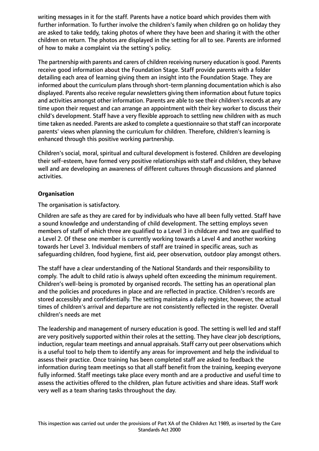writing messages in it for the staff. Parents have a notice board which provides them with further information. To further involve the children's family when children go on holiday they are asked to take teddy, taking photos of where they have been and sharing it with the other children on return. The photos are displayed in the setting for all to see. Parents are informed of how to make a complaint via the setting's policy.

The partnership with parents and carers of children receiving nursery education is good. Parents receive good information about the Foundation Stage. Staff provide parents with a folder detailing each area of learning giving them an insight into the Foundation Stage. They are informed about the curriculum plans through short-term planning documentation which is also displayed. Parents also receive regular newsletters giving them information about future topics and activities amongst other information. Parents are able to see their children's records at any time upon their request and can arrange an appointment with their key worker to discuss their child's development. Staff have a very flexible approach to settling new children with as much time taken as needed. Parents are asked to complete a questionnaire so that staff can incorporate parents' views when planning the curriculum for children. Therefore, children's learning is enhanced through this positive working partnership.

Children's social, moral, spiritual and cultural development is fostered. Children are developing their self-esteem, have formed very positive relationships with staff and children, they behave well and are developing an awareness of different cultures through discussions and planned activities.

# **Organisation**

The organisation is satisfactory.

Children are safe as they are cared for by individuals who have all been fully vetted. Staff have a sound knowledge and understanding of child development. The setting employs seven members of staff of which three are qualified to a Level 3 in childcare and two are qualified to a Level 2. Of these one member is currently working towards a Level 4 and another working towards her Level 3. Individual members of staff are trained in specific areas, such as safeguarding children, food hygiene, first aid, peer observation, outdoor play amongst others.

The staff have a clear understanding of the National Standards and their responsibility to comply. The adult to child ratio is always upheld often exceeding the minimum requirement. Children's well-being is promoted by organised records. The setting has an operational plan and the policies and procedures in place and are reflected in practice. Children's records are stored accessibly and confidentially. The setting maintains a daily register, however, the actual times of children's arrival and departure are not consistently reflected in the register. Overall children's needs are met

The leadership and management of nursery education is good. The setting is well led and staff are very positively supported within their roles at the setting. They have clear job descriptions, induction, regular team meetings and annual appraisals. Staff carry out peer observations which is a useful tool to help them to identify any areas for improvement and help the individual to assess their practice. Once training has been completed staff are asked to feedback the information during team meetings so that all staff benefit from the training, keeping everyone fully informed. Staff meetings take place every month and are a productive and useful time to assess the activities offered to the children, plan future activities and share ideas. Staff work very well as a team sharing tasks throughout the day.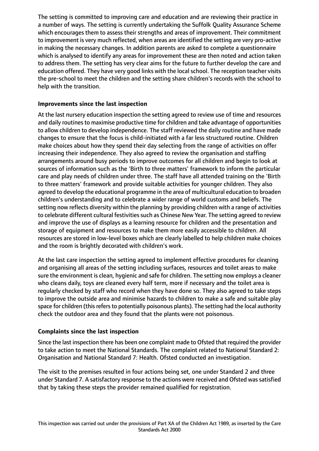The setting is committed to improving care and education and are reviewing their practice in a number of ways. The setting is currently undertaking the Suffolk Quality Assurance Scheme which encourages them to assess their strengths and areas of improvement. Their commitment to improvement is very much reflected, when areas are identified the setting are very pro-active in making the necessary changes. In addition parents are asked to complete a questionnaire which is analysed to identify any areas for improvement these are then noted and action taken to address them. The setting has very clear aims for the future to further develop the care and education offered. They have very good links with the local school. The reception teacher visits the pre-school to meet the children and the setting share children's records with the school to help with the transition.

## **Improvements since the last inspection**

At the last nursery education inspection the setting agreed to review use of time and resources and daily routines to maximise productive time for children and take advantage of opportunities to allow children to develop independence. The staff reviewed the daily routine and have made changes to ensure that the focus is child-initiated with a far less structured routine. Children make choices about how they spend their day selecting from the range of activities on offer increasing their independence. They also agreed to review the organisation and staffing arrangements around busy periods to improve outcomes for all children and begin to look at sources of information such as the 'Birth to three matters' framework to inform the particular care and play needs of children under three. The staff have all attended training on the 'Birth to three matters' framework and provide suitable activities for younger children. They also agreed to develop the educational programme in the area of multicultural education to broaden children's understanding and to celebrate a wider range of world customs and beliefs. The setting now reflects diversity within the planning by providing children with a range of activities to celebrate different cultural festivities such as Chinese New Year. The setting agreed to review and improve the use of displays as a learning resource for children and the presentation and storage of equipment and resources to make them more easily accessible to children. All resources are stored in low-level boxes which are clearly labelled to help children make choices and the room is brightly decorated with children's work.

At the last care inspection the setting agreed to implement effective procedures for cleaning and organising all areas of the setting including surfaces, resources and toilet areas to make sure the environment is clean, hygienic and safe for children. The setting now employs a cleaner who cleans daily, toys are cleaned every half term, more if necessary and the toilet area is regularly checked by staff who record when they have done so. They also agreed to take steps to improve the outside area and minimise hazards to children to make a safe and suitable play space for children (this refers to potentially poisonous plants). The setting had the local authority check the outdoor area and they found that the plants were not poisonous.

## **Complaints since the last inspection**

Since the last inspection there has been one complaint made to Ofsted that required the provider to take action to meet the National Standards. The complaint related to National Standard 2: Organisation and National Standard 7: Health. Ofsted conducted an investigation.

The visit to the premises resulted in four actions being set, one under Standard 2 and three under Standard 7. A satisfactory response to the actions were received and Ofsted wassatisfied that by taking these steps the provider remained qualified for registration.